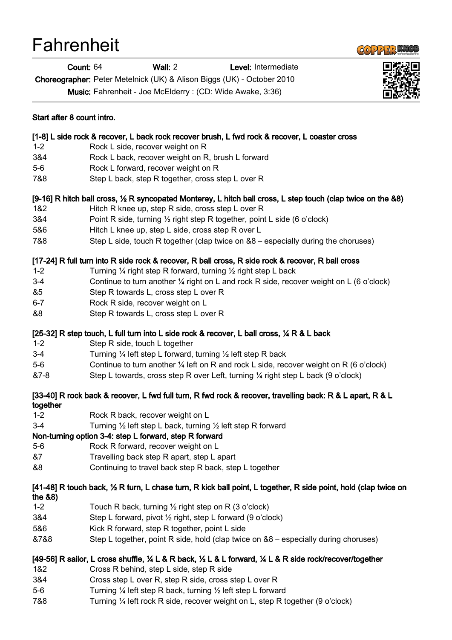# **Fahrenheit**



Count: 64 Wall: 2 Level: Intermediate

Choreographer: Peter Metelnick (UK) & Alison Biggs (UK) - October 2010

Music: Fahrenheit - Joe McElderry : (CD: Wide Awake, 3:36)



### Start after 8 count intro.

# [1-8] L side rock & recover, L back rock recover brush, L fwd rock & recover, L coaster cross

- 1-2 Rock L side, recover weight on R
- 3&4 Rock L back, recover weight on R, brush L forward
- 5-6 Rock L forward, recover weight on R
- 7&8 Step L back, step R together, cross step L over R

# [9-16] R hitch ball cross, ½ R syncopated Monterey, L hitch ball cross, L step touch (clap twice on the &8)

- 1&2 Hitch R knee up, step R side, cross step L over R
- 3&4 Point R side, turning ½ right step R together, point L side (6 o'clock)
- 5&6 Hitch L knee up, step L side, cross step R over L
- 7&8 Step L side, touch R together (clap twice on &8 especially during the choruses)

# [17-24] R full turn into R side rock & recover, R ball cross, R side rock & recover, R ball cross

- 1-2 Turning ¼ right step R forward, turning ½ right step L back
- 3-4 Continue to turn another ¼ right on L and rock R side, recover weight on L (6 o'clock)
- &5 Step R towards L, cross step L over R
- 6-7 Rock R side, recover weight on L
- &8 Step R towards L, cross step L over R

# [25-32] R step touch, L full turn into L side rock & recover, L ball cross,  $\frac{1}{4}$  R & L back

- 1-2 Step R side, touch L together
- 3-4 Turning ¼ left step L forward, turning ½ left step R back
- 5-6 Continue to turn another ¼ left on R and rock L side, recover weight on R (6 o'clock)
- &7-8 Step L towards, cross step R over Left, turning ¼ right step L back (9 o'clock)

#### [33-40] R rock back & recover, L fwd full turn, R fwd rock & recover, travelling back: R & L apart, R & L together

- 1-2 Rock R back, recover weight on L
- 3-4 Turning ½ left step L back, turning ½ left step R forward

# Non-turning option 3-4: step L forward, step R forward

- 5-6 Rock R forward, recover weight on L
- &7 Travelling back step R apart, step L apart
- &8 Continuing to travel back step R back, step L together

# [41-48] R touch back, ½ R turn, L chase turn, R kick ball point, L together, R side point, hold (clap twice on the &8)

- 1-2 Touch R back, turning ½ right step on R (3 o'clock)
- 3&4 Step L forward, pivot ½ right, step L forward (9 o'clock)
- 5&6 Kick R forward, step R together, point L side
- &7&8 Step L together, point R side, hold (clap twice on &8 especially during choruses)

# [49-56] R sailor, L cross shuffle, ¼ L & R back, ½ L & L forward, ¼ L & R side rock/recover/together

- 1&2 Cross R behind, step L side, step R side
- 3&4 Cross step L over R, step R side, cross step L over R
- 5-6 Turning ¼ left step R back, turning ½ left step L forward
- 7&8 Turning ¼ left rock R side, recover weight on L, step R together (9 o'clock)